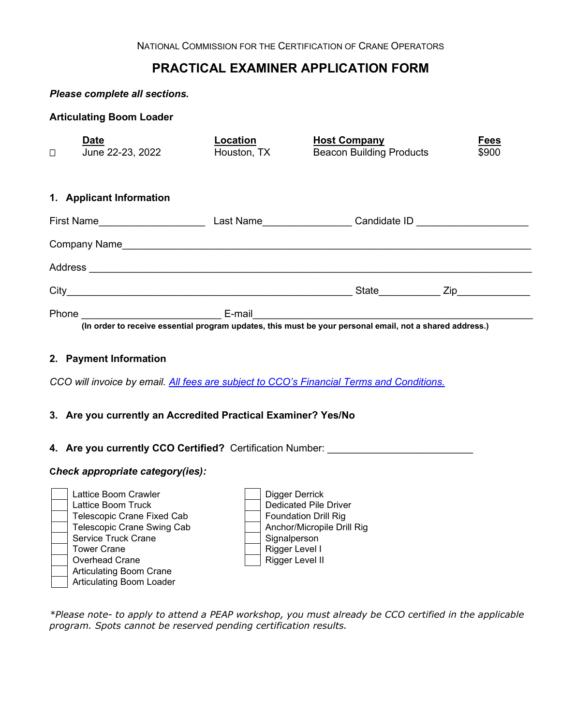# **PRACTICAL EXAMINER APPLICATION FORM**

### *Please complete all sections.*

**Articulating Boom Loader**

| <b>Date</b><br>June 22-23, 2022<br>$\Box$ | Location<br>Houston, TX | <b>Host Company</b><br><b>Beacon Building Products</b>                                                   | <b>Fees</b><br>\$900 |
|-------------------------------------------|-------------------------|----------------------------------------------------------------------------------------------------------|----------------------|
| 1. Applicant Information                  |                         |                                                                                                          |                      |
| First Name <u>Came</u>                    |                         | Last Name Candidate ID                                                                                   |                      |
|                                           |                         |                                                                                                          |                      |
|                                           |                         |                                                                                                          |                      |
|                                           |                         | State <b>Zip Zip</b>                                                                                     |                      |
| Phone                                     |                         | (In order to receive essential program updates, this must be your personal email, not a shared address.) |                      |
|                                           |                         |                                                                                                          |                      |

### **2. Payment Information**

*CCO will invoice by email. [All fees are subject to CCO's Financial Terms and Conditions.](https://www.nccco.org/nccco/about-nccco/policies/financial-terms-conditions)*

## **3. Are you currently an Accredited Practical Examiner? Yes/No**

# **4. Are you currently CCO Certified?** Certification Number: \_\_\_\_\_\_\_\_\_\_\_\_\_\_\_\_\_\_\_\_\_\_\_\_\_\_

### **C***heck appropriate category(ies):*



Dedicated Pile Driver<br>Foundation Drill Rig Rigger Level I<br>Rigger Level II

*\*Please note- to apply to attend a PEAP workshop, you must already be CCO certified in the applicable program. Spots cannot be reserved pending certification results.*